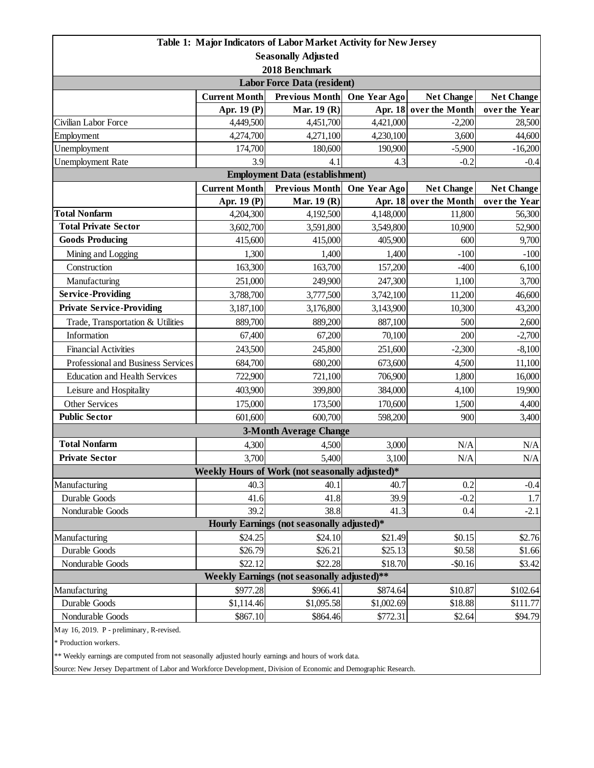|                                                                                                           |                                            | Table 1: Major Indicators of Labor Market Activity for New Jersey |                      |                        |                   |  |  |  |
|-----------------------------------------------------------------------------------------------------------|--------------------------------------------|-------------------------------------------------------------------|----------------------|------------------------|-------------------|--|--|--|
| <b>Seasonally Adjusted</b>                                                                                |                                            |                                                                   |                      |                        |                   |  |  |  |
| 2018 Benchmark                                                                                            |                                            |                                                                   |                      |                        |                   |  |  |  |
| <b>Labor Force Data (resident)</b>                                                                        |                                            |                                                                   |                      |                        |                   |  |  |  |
|                                                                                                           | <b>Current Month</b>                       | <b>Previous Month</b>                                             | One Year Ago         | <b>Net Change</b>      | <b>Net Change</b> |  |  |  |
|                                                                                                           | Apr. 19 (P)                                | Mar. 19 (R)                                                       |                      | Apr. 18 over the Month | over the Year     |  |  |  |
| Civilian Labor Force                                                                                      | 4,449,500                                  | 4,451,700                                                         | 4,421,000            | $-2,200$               | 28,500            |  |  |  |
| Employment                                                                                                | 4,274,700                                  | 4,271,100                                                         | 4,230,100            | 3,600                  | 44,600            |  |  |  |
| Unemployment                                                                                              | 174,700                                    | 180,600                                                           | 190,900              | $-5,900$               | $-16,200$         |  |  |  |
| <b>Unemployment Rate</b>                                                                                  | 3.9                                        | 4.1                                                               | 4.3                  | $-0.2$                 | $-0.4$            |  |  |  |
| <b>Employment Data (establishment)</b>                                                                    |                                            |                                                                   |                      |                        |                   |  |  |  |
|                                                                                                           | <b>Current Month</b>                       | <b>Previous Month</b>                                             | One Year Ago         | <b>Net Change</b>      | <b>Net Change</b> |  |  |  |
| <b>Total Nonfarm</b>                                                                                      | Apr. 19 (P)                                | Mar. 19 (R)                                                       | Apr. 18              | over the Month         | over the Year     |  |  |  |
| <b>Total Private Sector</b>                                                                               | 4,204,300<br>3,602,700                     | 4,192,500                                                         | 4,148,000            | 11,800                 | 56,300            |  |  |  |
| <b>Goods Producing</b>                                                                                    |                                            | 3,591,800                                                         | 3,549,800            | 10,900<br>600          | 52,900            |  |  |  |
|                                                                                                           | 415,600<br>1,300                           | 415,000<br>1,400                                                  | 405,900              | $-100$                 | 9,700<br>$-100$   |  |  |  |
| Mining and Logging<br>Construction                                                                        |                                            | 163,700                                                           | 1,400                | $-400$                 |                   |  |  |  |
| Manufacturing                                                                                             | 163,300                                    |                                                                   | 157,200              |                        | 6,100             |  |  |  |
| <b>Service-Providing</b>                                                                                  | 251,000                                    | 249,900                                                           | 247,300<br>3,742,100 | 1,100                  | 3,700             |  |  |  |
| <b>Private Service-Providing</b>                                                                          | 3,788,700                                  | 3,777,500                                                         |                      | 11,200                 | 46,600            |  |  |  |
|                                                                                                           | 3,187,100                                  | 3,176,800                                                         | 3,143,900            | 10,300                 | 43,200            |  |  |  |
| Trade, Transportation & Utilities                                                                         | 889,700                                    | 889,200                                                           | 887,100              | 500                    | 2,600             |  |  |  |
| Information                                                                                               | 67,400                                     | 67,200                                                            | 70,100               | 200                    | $-2,700$          |  |  |  |
| <b>Financial Activities</b>                                                                               | 243,500                                    | 245,800                                                           | 251,600              | $-2,300$               | $-8,100$          |  |  |  |
| Professional and Business Services                                                                        | 684,700                                    | 680,200                                                           | 673,600              | 4,500                  | 11,100            |  |  |  |
| <b>Education and Health Services</b>                                                                      | 722,900                                    | 721,100                                                           | 706,900              | 1,800                  | 16,000            |  |  |  |
| Leisure and Hospitality                                                                                   | 403,900                                    | 399,800                                                           | 384,000              | 4,100                  | 19,900            |  |  |  |
| <b>Other Services</b>                                                                                     | 175,000                                    | 173,500                                                           | 170,600              | 1,500                  | 4,400             |  |  |  |
| <b>Public Sector</b><br>600,700<br>601,600<br>598,200<br>900                                              |                                            |                                                                   |                      |                        | 3,400             |  |  |  |
| <b>3-Month Average Change</b>                                                                             |                                            |                                                                   |                      |                        |                   |  |  |  |
| <b>Total Nonfarm</b><br><b>Private Sector</b>                                                             | 4,300                                      | 4,500                                                             | 3,000                | N/A                    | N/A               |  |  |  |
|                                                                                                           | 3,700                                      | 5,400                                                             | 3,100                | N/A                    | $\rm N/A$         |  |  |  |
| Weekly Hours of Work (not seasonally adjusted)*<br>40.3<br>0.2<br>Manufacturing<br>40.1<br>40.7<br>$-0.4$ |                                            |                                                                   |                      |                        |                   |  |  |  |
| Durable Goods                                                                                             | 41.6                                       | 41.8                                                              | 39.9                 | $-0.2$                 | 1.7               |  |  |  |
| Nondurable Goods                                                                                          | 39.2                                       | 38.8                                                              | 41.3                 | 0.4                    | $-2.1$            |  |  |  |
|                                                                                                           | Hourly Earnings (not seasonally adjusted)* |                                                                   |                      |                        |                   |  |  |  |
| \$24.10<br>Manufacturing<br>\$24.25<br>\$0.15<br>\$21.49<br>\$2.76                                        |                                            |                                                                   |                      |                        |                   |  |  |  |
| Durable Goods                                                                                             | \$26.79                                    | \$26.21                                                           | \$25.13              | \$0.58                 | \$1.66            |  |  |  |
| Nondurable Goods                                                                                          | \$22.12                                    | \$22.28                                                           | \$18.70              | $-$0.16$               | \$3.42            |  |  |  |
| Weekly Earnings (not seasonally adjusted)**                                                               |                                            |                                                                   |                      |                        |                   |  |  |  |
| \$966.41<br>\$977.28<br>Manufacturing<br>\$874.64<br>\$10.87<br>\$102.64                                  |                                            |                                                                   |                      |                        |                   |  |  |  |
| Durable Goods                                                                                             | \$1,114.46                                 | \$1,095.58                                                        | \$1,002.69           | \$18.88                | \$111.77          |  |  |  |
| Nondurable Goods                                                                                          | \$867.10                                   | \$864.46                                                          | \$772.31             | \$2.64                 | \$94.79           |  |  |  |
| May 16, 2019. P - preliminary, R-revised.                                                                 |                                            |                                                                   |                      |                        |                   |  |  |  |

\* Production workers.

\*\* Weekly earnings are computed from not seasonally adjusted hourly earnings and hours of work data.

Source: New Jersey Department of Labor and Workforce Development, Division of Economic and Demographic Research.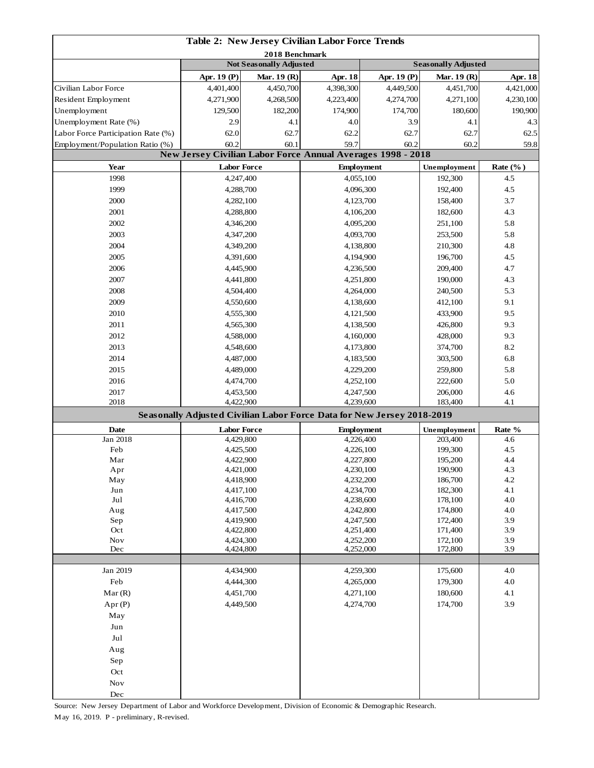| Table 2: New Jersey Civilian Labor Force Trends                       |                        |                                |                                                                                     |              |                            |              |  |
|-----------------------------------------------------------------------|------------------------|--------------------------------|-------------------------------------------------------------------------------------|--------------|----------------------------|--------------|--|
| 2018 Benchmark                                                        |                        |                                |                                                                                     |              |                            |              |  |
|                                                                       |                        | <b>Not Seasonally Adjusted</b> |                                                                                     |              | <b>Seasonally Adjusted</b> |              |  |
|                                                                       | Apr. 19 $(P)$          | Mar. 19 (R)                    | Apr. 18                                                                             | Apr. 19 (P)  | Mar. 19 (R)                | Apr. 18      |  |
| Civilian Labor Force                                                  | 4,401,400              | 4,450,700                      | 4,398,300                                                                           | 4,449,500    | 4,451,700                  | 4,421,000    |  |
| Resident Employment                                                   | 4,271,900              | 4,268,500                      | 4,223,400                                                                           | 4,274,700    | 4,271,100                  | 4,230,100    |  |
| Unemployment                                                          | 129,500                | 182,200                        | 174,900                                                                             | 174,700      | 180,600                    | 190,900      |  |
| Unemployment Rate (%)                                                 | 2.9                    | 4.1                            | 4.0                                                                                 | 3.9          | 4.1                        | 4.3          |  |
| Labor Force Participation Rate (%)<br>Employment/Population Ratio (%) | 62.0<br>60.2           | 62.7                           | 62.2<br>59.7                                                                        | 62.7<br>60.2 | 62.7<br>60.2               | 62.5         |  |
|                                                                       |                        | 60.1                           | New Jersey Civilian Labor Force Annual Averages 1998 - 2018                         |              |                            | 59.8         |  |
| Year                                                                  | <b>Labor Force</b>     |                                | <b>Employment</b>                                                                   |              | Unemployment               | Rate $(\%$ ) |  |
| 1998                                                                  |                        |                                | 4,055,100                                                                           |              | 192,300                    | 4.5          |  |
| 1999                                                                  | 4,247,400<br>4,288,700 |                                | 4,096,300                                                                           |              | 192,400                    | 4.5          |  |
| 2000                                                                  | 4,282,100              |                                |                                                                                     |              |                            | 3.7          |  |
| 2001                                                                  |                        |                                | 4,123,700                                                                           |              | 158,400<br>182,600         | 4.3          |  |
| 2002                                                                  | 4,288,800              |                                | 4,106,200                                                                           |              | 251,100                    | 5.8          |  |
| 2003                                                                  | 4,346,200<br>4,347,200 |                                | 4,095,200<br>4,093,700                                                              |              | 253,500                    | 5.8          |  |
| 2004                                                                  | 4,349,200              |                                | 4,138,800                                                                           |              | 210,300                    | 4.8          |  |
| 2005                                                                  | 4,391,600              |                                |                                                                                     |              | 196,700                    | 4.5          |  |
| 2006                                                                  |                        |                                | 4,194,900                                                                           |              |                            | 4.7          |  |
|                                                                       | 4,445,900              |                                | 4,236,500                                                                           |              | 209,400                    |              |  |
| 2007                                                                  | 4,441,800              |                                | 4,251,800                                                                           |              | 190,000                    | 4.3          |  |
| 2008                                                                  | 4,504,400              |                                | 4,264,000                                                                           |              | 240,500                    | 5.3          |  |
| 2009                                                                  | 4,550,600              |                                | 4,138,600                                                                           |              | 412,100                    | 9.1          |  |
| 2010                                                                  | 4,555,300              |                                | 4,121,500                                                                           |              | 433,900                    | 9.5          |  |
| 2011                                                                  | 4,565,300              |                                | 4,138,500                                                                           |              | 426,800                    | 9.3          |  |
| 2012                                                                  | 4,588,000              |                                | 4,160,000                                                                           |              | 428,000                    | 9.3          |  |
| 2013                                                                  | 4,548,600              |                                | 4,173,800                                                                           |              | 374,700                    | 8.2          |  |
| 2014                                                                  | 4,487,000              |                                | 4,183,500                                                                           |              | 303,500                    | 6.8          |  |
| 2015                                                                  | 4,489,000              |                                | 4,229,200                                                                           |              | 259,800                    | 5.8          |  |
| 2016                                                                  | 4,474,700              |                                | 4,252,100                                                                           |              | 222,600<br>206,000         | 5.0          |  |
| 2017                                                                  |                        | 4,453,500                      |                                                                                     | 4,247,500    |                            | 4.6          |  |
| 2018                                                                  | 4,422,900              |                                | 4,239,600<br>Seasonally Adjusted Civilian Labor Force Data for New Jersey 2018-2019 |              | 183,400                    | 4.1          |  |
|                                                                       |                        |                                |                                                                                     |              |                            |              |  |
| <b>Date</b><br>Jan 2018                                               | <b>Labor Force</b>     |                                | <b>Employment</b>                                                                   |              | Unemployment               | Rate %       |  |
| Feb                                                                   | 4,429,800<br>4,425,500 |                                | 4,226,400                                                                           |              | 203,400<br>199,300         | 4.6<br>4.5   |  |
| Mar                                                                   |                        |                                | 4,226,100<br>4,227,800                                                              |              | 195,200                    | 4.4          |  |
| Apr                                                                   | 4,422,900<br>4,421,000 |                                | 4,230,100                                                                           |              | 190,900                    | 4.3          |  |
| May                                                                   | 4,418,900              |                                | 4,232,200                                                                           |              | 186,700                    | 4.2          |  |
| Jun                                                                   | 4,417,100              |                                | 4,234,700                                                                           |              | 182,300                    | 4.1          |  |
| $_{\rm{Jul}}$                                                         | 4,416,700              |                                | 4,238,600                                                                           |              | 178,100                    | $4.0\,$      |  |
| Aug                                                                   | 4,417,500              |                                | 4,242,800                                                                           |              | 174,800                    | 4.0          |  |
| Sep                                                                   | 4,419,900              |                                | 4,247,500                                                                           |              | 172,400                    | 3.9          |  |
| Oct                                                                   | 4,422,800              |                                | 4,251,400                                                                           |              | 171,400                    | 3.9          |  |
| <b>Nov</b>                                                            | 4,424,300              |                                | 4,252,200                                                                           |              | 172,100                    | 3.9          |  |
| Dec                                                                   | 4,424,800              |                                | 4,252,000                                                                           |              | 172,800                    | 3.9          |  |
| Jan 2019                                                              |                        |                                | 4,259,300                                                                           |              | 175,600                    | 4.0          |  |
| Feb                                                                   | 4,434,900<br>4,444,300 |                                | 4,265,000                                                                           |              | 179,300                    | 4.0          |  |
| Mar(R)                                                                | 4,451,700              |                                | 4,271,100                                                                           |              | 180,600                    | 4.1          |  |
| Apr(P)                                                                | 4,449,500              |                                | 4,274,700                                                                           |              | 174,700                    | 3.9          |  |
| May                                                                   |                        |                                |                                                                                     |              |                            |              |  |
| Jun                                                                   |                        |                                |                                                                                     |              |                            |              |  |
| $_{\rm{Jul}}$                                                         |                        |                                |                                                                                     |              |                            |              |  |
|                                                                       |                        |                                |                                                                                     |              |                            |              |  |
| Aug                                                                   |                        |                                |                                                                                     |              |                            |              |  |
| Sep                                                                   |                        |                                |                                                                                     |              |                            |              |  |
| Oct                                                                   |                        |                                |                                                                                     |              |                            |              |  |
| Nov                                                                   |                        |                                |                                                                                     |              |                            |              |  |
| Dec                                                                   |                        |                                |                                                                                     |              |                            |              |  |

Source: New Jersey Department of Labor and Workforce Development, Division of Economic & Demographic Research. May 16, 2019. P - preliminary, R-revised.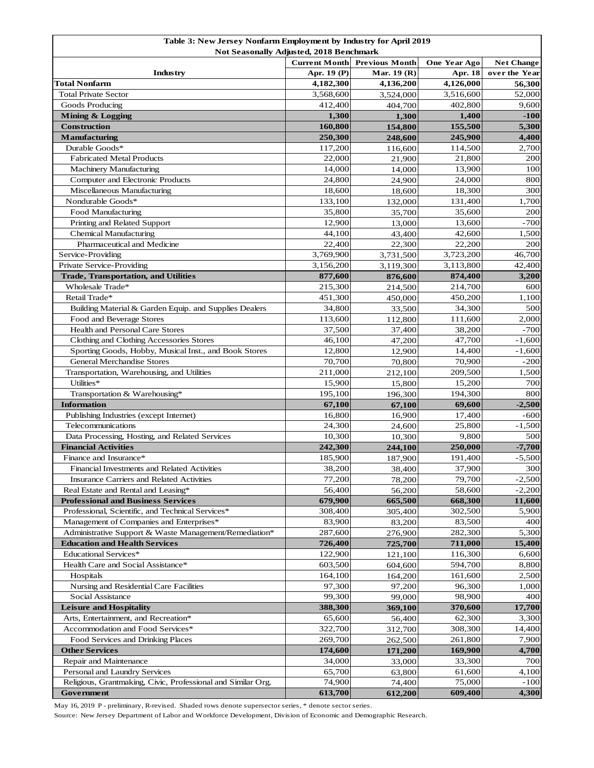| Table 3: New Jersey Nonfarm Employment by Industry for April 2019                                        |                  |                  |                   |                                    |  |  |
|----------------------------------------------------------------------------------------------------------|------------------|------------------|-------------------|------------------------------------|--|--|
| Not Seasonally Adjusted, 2018 Benchmark<br><b>Previous Month</b><br><b>Current Month</b><br>One Year Ago |                  |                  |                   |                                    |  |  |
| Industry                                                                                                 | Apr. 19 (P)      | Mar. 19 (R)      | Apr. 18           | <b>Net Change</b><br>over the Year |  |  |
| <b>Total Nonfarm</b>                                                                                     | 4,182,300        | 4,136,200        | 4,126,000         | 56,300                             |  |  |
| <b>Total Private Sector</b>                                                                              | 3,568,600        | 3,524,000        | 3,516,600         | 52,000                             |  |  |
| Goods Producing                                                                                          | 412,400          | 404,700          | 402,800           | 9,600                              |  |  |
| <b>Mining &amp; Logging</b>                                                                              | 1,300            | 1,300            | 1,400             | $-100$                             |  |  |
| <b>Construction</b>                                                                                      | 160,800          | 154,800          | 155,500           | 5,300                              |  |  |
| <b>Manufacturing</b>                                                                                     | 250,300          | 248,600          | 245,900           | 4,400                              |  |  |
| Durable Goods*                                                                                           | 117,200          | 116,600          | 114,500           | 2,700                              |  |  |
| <b>Fabricated Metal Products</b>                                                                         | 22,000           | 21,900           | 21,800            | 200                                |  |  |
| <b>Machinery Manufacturing</b>                                                                           | 14,000           | 14,000           | 13,900            | 100                                |  |  |
| Computer and Electronic Products                                                                         | 24,800           | 24,900           | 24,000            | 800                                |  |  |
| Miscellaneous Manufacturing                                                                              | 18,600           | 18,600           | 18,300            | 300                                |  |  |
| Nondurable Goods*                                                                                        | 133,100          | 132,000          | 131,400           | 1,700                              |  |  |
| Food Manufacturing                                                                                       | 35,800           | 35,700           | 35,600            | 200                                |  |  |
| Printing and Related Support                                                                             | 12,900           | 13,000           | 13,600            | $-700$                             |  |  |
| <b>Chemical Manufacturing</b>                                                                            | 44,100           | 43,400           | 42,600            | 1,500                              |  |  |
| Pharmaceutical and Medicine                                                                              | 22,400           | 22,300           | 22,200            | 200                                |  |  |
| Service-Providing                                                                                        | 3,769,900        | 3,731,500        | 3,723,200         | 46,700                             |  |  |
| Private Service-Providing                                                                                | 3,156,200        | 3,119,300        | 3,113,800         | 42,400                             |  |  |
| <b>Trade, Transportation, and Utilities</b>                                                              | 877,600          | 876,600          | 874,400           | 3,200                              |  |  |
| Wholesale Trade*                                                                                         | 215,300          | 214,500          | 214,700           | 600                                |  |  |
| Retail Trade*                                                                                            | 451,300          | 450,000          | 450,200           | 1,100                              |  |  |
| Building Material & Garden Equip. and Supplies Dealers                                                   | 34,800           | 33,500           | 34,300            | 500                                |  |  |
| Food and Beverage Stores                                                                                 | 113,600          | 112,800          | 111,600<br>38,200 | 2,000                              |  |  |
| Health and Personal Care Stores                                                                          | 37,500<br>46,100 | 37,400           | 47,700            | $-700$<br>$-1,600$                 |  |  |
| Clothing and Clothing Accessories Stores<br>Sporting Goods, Hobby, Musical Inst., and Book Stores        | 12,800           | 47,200           | 14,400            |                                    |  |  |
| <b>General Merchandise Stores</b>                                                                        | 70,700           | 12,900<br>70,800 | 70,900            | $-1,600$<br>-200                   |  |  |
| Transportation, Warehousing, and Utilities                                                               | 211,000          | 212,100          | 209,500           | 1,500                              |  |  |
| Utilities*                                                                                               | 15,900           | 15,800           | 15,200            | 700                                |  |  |
| Transportation & Warehousing*                                                                            | 195,100          | 196,300          | 194,300           | 800                                |  |  |
| <b>Information</b>                                                                                       | 67,100           | 67,100           | 69,600            | $-2,500$                           |  |  |
| Publishing Industries (except Internet)                                                                  | 16,800           | 16,900           | 17,400            | -600                               |  |  |
| Telecommunications                                                                                       | 24,300           | 24,600           | 25,800            | $-1,500$                           |  |  |
| Data Processing, Hosting, and Related Services                                                           | 10,300           | 10,300           | 9,800             | 500                                |  |  |
| <b>Financial Activities</b>                                                                              | 242,300          | 244,100          | 250,000           | $-7,700$                           |  |  |
| Finance and Insurance*                                                                                   | 185,900          | 187,900          | 191,400           | $-5,500$                           |  |  |
| Financial Investments and Related Activities                                                             | 38,200           | 38.400           | 37,900            | 300                                |  |  |
| Insurance Carriers and Related Activities                                                                | 77,200           | 78,200           | 79,700            | $-2,500$                           |  |  |
| Real Estate and Rental and Leasing*                                                                      | 56,400           | 56,200           | 58,600            | $-2,200$                           |  |  |
| <b>Professional and Business Services</b>                                                                | 679,900          | 665,500          | 668,300           | 11,600                             |  |  |
| Professional, Scientific, and Technical Services*                                                        | 308,400          | 305,400          | 302,500           | 5,900                              |  |  |
| Management of Companies and Enterprises*                                                                 | 83,900           | 83,200           | 83,500            | 400                                |  |  |
| Administrative Support & Waste Management/Remediation*                                                   | 287,600          | 276,900          | 282,300           | 5,300                              |  |  |
| <b>Education and Health Services</b>                                                                     | 726,400          | 725,700          | 711,000           | 15,400                             |  |  |
| Educational Services*                                                                                    | 122,900          | 121,100          | 116,300           | 6,600                              |  |  |
| Health Care and Social Assistance*                                                                       | 603,500          | 604,600          | 594,700           | 8,800                              |  |  |
| Hospitals                                                                                                | 164,100          | 164,200          | 161,600           | 2,500                              |  |  |
| Nursing and Residential Care Facilities                                                                  | 97,300           | 97,200           | 96,300            | 1,000                              |  |  |
| Social Assistance                                                                                        | 99,300           | 99,000           | 98,900            | 400                                |  |  |
| <b>Leisure and Hospitality</b>                                                                           | 388,300          | 369,100          | 370,600           | 17,700                             |  |  |
| Arts, Entertainment, and Recreation*                                                                     | 65,600           | 56,400           | 62,300            | 3,300                              |  |  |
| Accommodation and Food Services*                                                                         | 322,700          | 312,700          | 308,300           | 14,400                             |  |  |
| Food Services and Drinking Places                                                                        | 269,700          | 262,500          | 261,800           | 7,900                              |  |  |
| <b>Other Services</b>                                                                                    | 174,600          | 171,200          | 169,900           | 4,700                              |  |  |
| Repair and Maintenance<br>Personal and Laundry Services                                                  | 34,000<br>65,700 | 33,000           | 33,300<br>61,600  | 700<br>4,100                       |  |  |
| Religious, Grantmaking, Civic, Professional and Similar Org.                                             | 74,900           | 63,800<br>74,400 | 75,000            | $-100$                             |  |  |
| Government                                                                                               | 613,700          | 612,200          | 609,400           | 4,300                              |  |  |

May 16, 2019 P - preliminary, R-revised. Shaded rows denote supersector series, \* denote sector series.

Source: New Jersey Department of Labor and Workforce Development, Division of Economic and Demographic Research.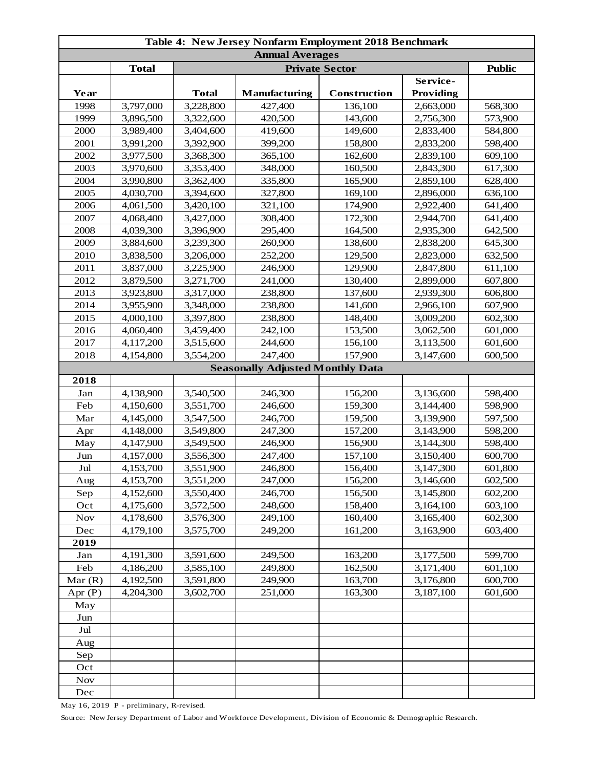| Table 4: New Jersey Nonfarm Employment 2018 Benchmark |              |              |                                         |              |                  |         |  |
|-------------------------------------------------------|--------------|--------------|-----------------------------------------|--------------|------------------|---------|--|
| <b>Annual Averages</b>                                |              |              |                                         |              |                  |         |  |
|                                                       | <b>Total</b> |              | <b>Public</b>                           |              |                  |         |  |
|                                                       |              |              |                                         |              | Service-         |         |  |
| Year                                                  |              | <b>Total</b> | <b>Manufacturing</b>                    | Construction | <b>Providing</b> |         |  |
| 1998                                                  | 3,797,000    | 3,228,800    | 427,400                                 | 136,100      | 2,663,000        | 568,300 |  |
| 1999                                                  | 3,896,500    | 3,322,600    | 420,500                                 | 143,600      | 2,756,300        | 573,900 |  |
| 2000                                                  | 3,989,400    | 3,404,600    | 419,600                                 | 149,600      | 2,833,400        | 584,800 |  |
| 2001                                                  | 3,991,200    | 3,392,900    | 399,200                                 | 158,800      | 2,833,200        | 598,400 |  |
| 2002                                                  | 3,977,500    | 3,368,300    | 365,100                                 | 162,600      | 2,839,100        | 609,100 |  |
| 2003                                                  | 3,970,600    | 3,353,400    | 348,000                                 | 160,500      | 2,843,300        | 617,300 |  |
| 2004                                                  | 3,990,800    | 3,362,400    | 335,800                                 | 165,900      | 2,859,100        | 628,400 |  |
| 2005                                                  | 4,030,700    | 3,394,600    | 327,800                                 | 169,100      | 2,896,000        | 636,100 |  |
| 2006                                                  | 4,061,500    | 3,420,100    | 321,100                                 | 174,900      | 2,922,400        | 641,400 |  |
| 2007                                                  | 4,068,400    | 3,427,000    | 308,400                                 | 172,300      | 2,944,700        | 641,400 |  |
| 2008                                                  | 4,039,300    | 3,396,900    | 295,400                                 | 164,500      | 2,935,300        | 642,500 |  |
| 2009                                                  | 3,884,600    | 3,239,300    | 260,900                                 | 138,600      | 2,838,200        | 645,300 |  |
| 2010                                                  | 3,838,500    | 3,206,000    | 252,200                                 | 129,500      | 2,823,000        | 632,500 |  |
| 2011                                                  | 3,837,000    | 3,225,900    | 246,900                                 | 129,900      | 2,847,800        | 611,100 |  |
| 2012                                                  | 3,879,500    | 3,271,700    | 241,000                                 | 130,400      | 2,899,000        | 607,800 |  |
| 2013                                                  | 3,923,800    | 3,317,000    | 238,800                                 | 137,600      | 2,939,300        | 606,800 |  |
| 2014                                                  | 3,955,900    | 3,348,000    | 238,800                                 | 141,600      | 2,966,100        | 607,900 |  |
| 2015                                                  | 4,000,100    | 3,397,800    | 238,800                                 | 148,400      | 3,009,200        | 602,300 |  |
| 2016                                                  | 4,060,400    | 3,459,400    | 242,100                                 | 153,500      | 3,062,500        | 601,000 |  |
| 2017                                                  | 4,117,200    | 3,515,600    | 244,600                                 | 156,100      | 3,113,500        | 601,600 |  |
| 2018                                                  | 4,154,800    | 3,554,200    | 247,400                                 | 157,900      | 3,147,600        | 600,500 |  |
|                                                       |              |              | <b>Seasonally Adjusted Monthly Data</b> |              |                  |         |  |
| 2018                                                  |              |              |                                         |              |                  |         |  |
| Jan                                                   | 4,138,900    | 3,540,500    | 246,300                                 | 156,200      | 3,136,600        | 598,400 |  |
| Feb                                                   | 4,150,600    | 3,551,700    | 246,600                                 | 159,300      | 3,144,400        | 598,900 |  |
| Mar                                                   | 4,145,000    | 3,547,500    | 246,700                                 | 159,500      | 3,139,900        | 597,500 |  |
| Apr                                                   | 4,148,000    | 3,549,800    | 247,300                                 | 157,200      | 3,143,900        | 598,200 |  |
| May                                                   | 4,147,900    | 3,549,500    | 246,900                                 | 156,900      | 3,144,300        | 598,400 |  |
| Jun                                                   | 4,157,000    | 3,556,300    | 247,400                                 | 157,100      | 3,150,400        | 600,700 |  |
| Jul                                                   | 4,153,700    | 3,551,900    | 246,800                                 | 156,400      | 3,147,300        | 601,800 |  |
| Aug                                                   | 4,153,700    | 3,551,200    | 247,000                                 | 156,200      | 3,146,600        | 602,500 |  |
| Sep                                                   | 4,152,600    | 3,550,400    | 246,700                                 | 156,500      | 3,145,800        | 602,200 |  |
| Oct                                                   | 4,175,600    | 3,572,500    | 248,600                                 | 158,400      | 3,164,100        | 603,100 |  |
| <b>Nov</b>                                            | 4,178,600    | 3,576,300    | 249,100                                 | 160,400      | 3,165,400        | 602,300 |  |
| Dec                                                   | 4,179,100    | 3,575,700    | 249,200                                 | 161,200      | 3,163,900        | 603,400 |  |
| 2019                                                  |              |              |                                         |              |                  |         |  |
| Jan                                                   | 4,191,300    | 3,591,600    | 249,500                                 | 163,200      | 3,177,500        | 599,700 |  |
| Feb                                                   | 4,186,200    | 3,585,100    | 249,800                                 | 162,500      | 3,171,400        | 601,100 |  |
| Mar(R)                                                | 4,192,500    | 3,591,800    | 249,900                                 | 163,700      | 3,176,800        | 600,700 |  |
| Apr $(P)$                                             | 4,204,300    | 3,602,700    | 251,000                                 | 163,300      | 3,187,100        | 601,600 |  |
| May                                                   |              |              |                                         |              |                  |         |  |
| Jun                                                   |              |              |                                         |              |                  |         |  |
| Jul                                                   |              |              |                                         |              |                  |         |  |
| Aug                                                   |              |              |                                         |              |                  |         |  |
| Sep                                                   |              |              |                                         |              |                  |         |  |
| Oct                                                   |              |              |                                         |              |                  |         |  |
| <b>Nov</b>                                            |              |              |                                         |              |                  |         |  |
| Dec                                                   |              |              |                                         |              |                  |         |  |
|                                                       |              |              |                                         |              |                  |         |  |

May 16, 2019 P - preliminary, R-revised.

Source: New Jersey Department of Labor and Workforce Development, Division of Economic & Demographic Research.